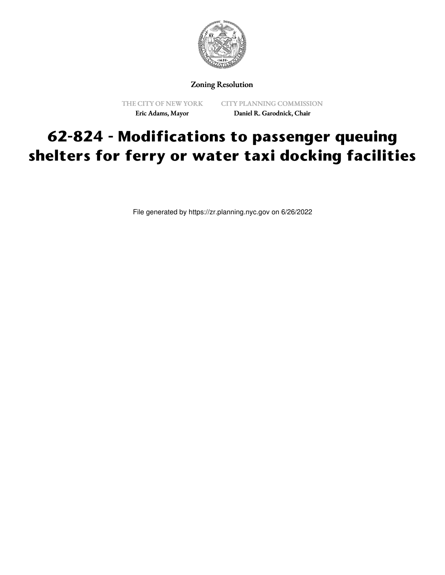

Zoning Resolution

THE CITY OF NEW YORK Eric Adams, Mayor

CITY PLANNING COMMISSION Daniel R. Garodnick, Chair

## **62-824 - Modifications to passenger queuing shelters for ferry or water taxi docking facilities**

File generated by https://zr.planning.nyc.gov on 6/26/2022